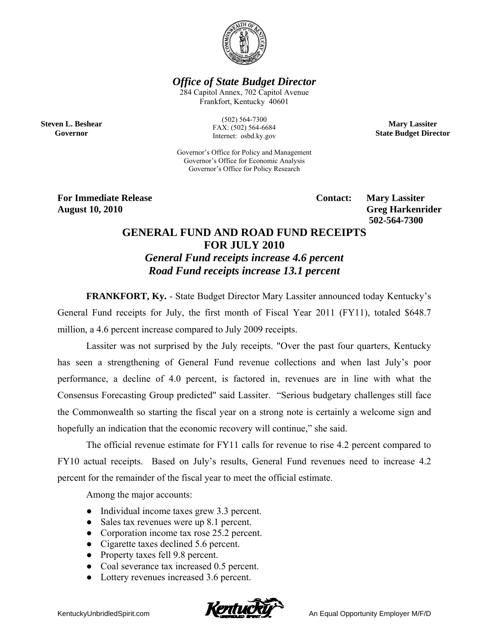

*Office of State Budget Director* 

284 Capitol Annex, 702 Capitol Avenue Frankfort, Kentucky 40601

**Steven L. Beshear Governor** 

(502) 564-7300 FAX: (502) 564-6684 Internet: osbd.ky.gov

Governor's Office for Policy and Management Governor's Office for Economic Analysis Governor's Office for Policy Research

**For Immediate Release Service Service Service Contact: Mary Lassiter August 10, 2010** Greg Harkenrider **Greg Harkenrider Greg Harkenrider Greg Harkenrider 502-564-7300** 

**Mary Lassiter State Budget Director** 

## **GENERAL FUND AND ROAD FUND RECEIPTS FOR JULY 2010**  *General Fund receipts increase 4.6 percent Road Fund receipts increase 13.1 percent*

**FRANKFORT, Ky.** - State Budget Director Mary Lassiter announced today Kentucky's General Fund receipts for July, the first month of Fiscal Year 2011 (FY11), totaled \$648.7 million, a 4.6 percent increase compared to July 2009 receipts.

Lassiter was not surprised by the July receipts. "Over the past four quarters, Kentucky has seen a strengthening of General Fund revenue collections and when last July's poor performance, a decline of 4.0 percent, is factored in, revenues are in line with what the Consensus Forecasting Group predicted" said Lassiter. "Serious budgetary challenges still face the Commonwealth so starting the fiscal year on a strong note is certainly a welcome sign and hopefully an indication that the economic recovery will continue," she said.

The official revenue estimate for FY11 calls for revenue to rise 4.2 percent compared to FY10 actual receipts. Based on July's results, General Fund revenues need to increase 4.2 percent for the remainder of the fiscal year to meet the official estimate.

Among the major accounts:

- Individual income taxes grew 3.3 percent.
- Sales tax revenues were up 8.1 percent.
- Corporation income tax rose 25.2 percent.
- Cigarette taxes declined 5.6 percent.
- Property taxes fell 9.8 percent.
- Coal severance tax increased 0.5 percent.
- Lottery revenues increased 3.6 percent.

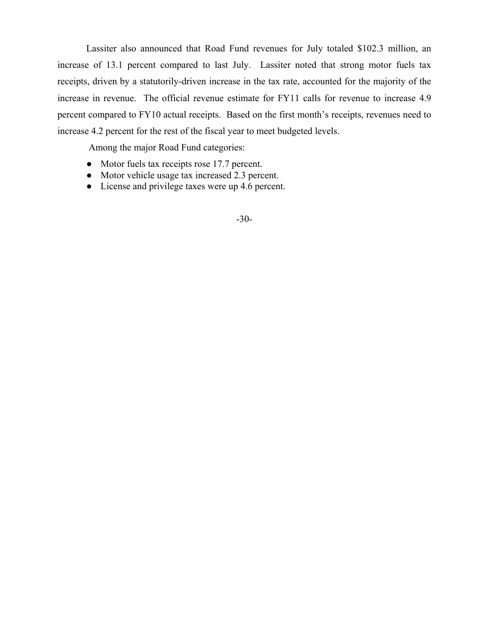Lassiter also announced that Road Fund revenues for July totaled \$102.3 million, an increase of 13.1 percent compared to last July. Lassiter noted that strong motor fuels tax receipts, driven by a statutorily-driven increase in the tax rate, accounted for the majority of the increase in revenue. The official revenue estimate for FY11 calls for revenue to increase 4.9 percent compared to FY10 actual receipts. Based on the first month's receipts, revenues need to increase 4.2 percent for the rest of the fiscal year to meet budgeted levels.

Among the major Road Fund categories:

- Motor fuels tax receipts rose 17.7 percent.
- Motor vehicle usage tax increased 2.3 percent.
- License and privilege taxes were up 4.6 percent.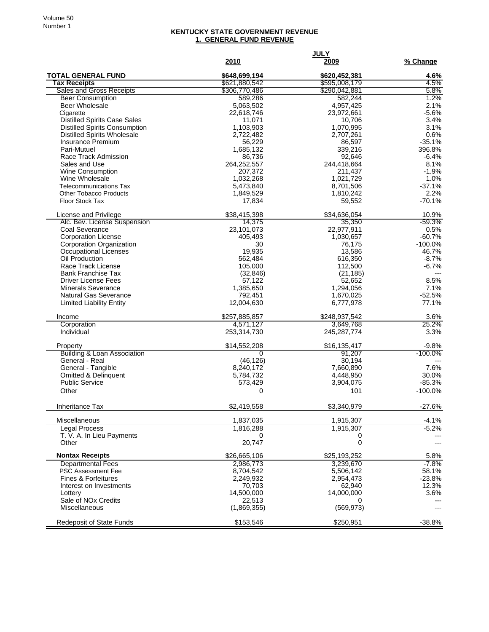## **KENTUCKY STATE GOVERNMENT REVENUE 1. GENERAL FUND REVENUE**

|                                                          |                                | <b>JULY</b>                    |                   |
|----------------------------------------------------------|--------------------------------|--------------------------------|-------------------|
|                                                          | 2010                           | 2009                           | % Change          |
| <b>TOTAL GENERAL FUND</b>                                | \$648,699,194                  | \$620,452,381                  | 4.6%              |
| <b>Tax Receipts</b><br>Sales and Gross Receipts          | \$621,880,542<br>\$306,770,486 | \$595,008,179<br>\$290,042,881 | 4.5%<br>5.8%      |
| <b>Beer Consumption</b>                                  | 589,286                        | 582,244                        | 1.2%              |
| Beer Wholesale                                           | 5,063,502                      | 4,957,425                      | 2.1%              |
| Cigarette                                                | 22,618,746                     | 23,972,661                     | $-5.6%$           |
| <b>Distilled Spirits Case Sales</b>                      | 11,071                         | 10,706                         | 3.4%              |
| <b>Distilled Spirits Consumption</b>                     | 1,103,903                      | 1,070,995                      | 3.1%              |
| <b>Distilled Spirits Wholesale</b>                       | 2,722,482                      | 2,707,261                      | 0.6%              |
| <b>Insurance Premium</b>                                 | 56,229                         | 86,597                         | $-35.1%$          |
| Pari-Mutuel<br>Race Track Admission                      | 1,685,132<br>86,736            | 339,216<br>92,646              | 396.8%<br>$-6.4%$ |
| Sales and Use                                            | 264,252,557                    | 244,418,664                    | 8.1%              |
| Wine Consumption                                         | 207,372                        | 211,437                        | $-1.9%$           |
| Wine Wholesale                                           | 1,032,268                      | 1,021,729                      | 1.0%              |
| <b>Telecommunications Tax</b>                            | 5,473,840                      | 8,701,506                      | $-37.1%$          |
| <b>Other Tobacco Products</b>                            | 1,849,529                      | 1,810,242                      | 2.2%              |
| <b>Floor Stock Tax</b>                                   | 17,834                         | 59,552                         | $-70.1%$          |
| License and Privilege                                    | \$38,415,398                   | \$34,636,054                   | 10.9%             |
| Alc. Bev. License Suspension                             | 14,375                         | 35,350                         | -59.3%            |
| Coal Severance                                           | 23,101,073                     | 22,977,911                     | 0.5%              |
| <b>Corporation License</b>                               | 405,493                        | 1,030,657                      | $-60.7%$          |
| Corporation Organization                                 | 30                             | 76,175                         | $-100.0%$         |
| Occupational Licenses                                    | 19,935                         | 13,586                         | 46.7%             |
| Oil Production                                           | 562,484                        | 616,350                        | $-8.7%$           |
| Race Track License                                       | 105,000                        | 112,500                        | $-6.7%$           |
| <b>Bank Franchise Tax</b>                                | (32, 846)                      | (21, 185)                      | $---$             |
| <b>Driver License Fees</b>                               | 57,122                         | 52,652                         | 8.5%              |
| <b>Minerals Severance</b>                                | 1,385,650                      | 1,294,056                      | 7.1%              |
| Natural Gas Severance                                    | 792,451                        | 1,670,025                      | $-52.5%$          |
| <b>Limited Liability Entity</b>                          | 12,004,630                     | 6,777,978                      | 77.1%             |
| Income                                                   | \$257,885,857                  | \$248,937,542                  | 3.6%              |
| Corporation                                              | 4,571,127                      | 3,649,768                      | 25.2%             |
| Individual                                               | 253,314,730                    | 245, 287, 774                  | 3.3%              |
| Property                                                 | \$14,552,208                   | \$16,135,417                   | $-9.8%$           |
| <b>Building &amp; Loan Association</b>                   | $\overline{0}$                 | 91,207                         | $-100.0\%$        |
| General - Real                                           | (46, 126)                      | 30,194                         |                   |
| General - Tangible                                       | 8,240,172                      | 7,660,890                      | 7.6%              |
| <b>Omitted &amp; Delinquent</b><br><b>Public Service</b> | 5,784,732<br>573,429           | 4,448,950<br>3,904,075         | 30.0%<br>$-85.3%$ |
| Other                                                    | 0                              | 101                            | $-100.0%$         |
|                                                          |                                |                                |                   |
| Inheritance Tax                                          | \$2,419,558                    | \$3,340,979                    | $-27.6%$          |
| Miscellaneous                                            | 1,837,035                      | 1,915,307                      | $-4.1%$           |
| <b>Legal Process</b>                                     | 1,816,288                      | 1,915,307                      | $-5.2%$           |
| T. V. A. In Lieu Payments                                | 0                              | 0                              |                   |
| Other                                                    | 20,747                         | 0                              | $---$             |
| <b>Nontax Receipts</b>                                   | \$26,665,106                   | \$25,193,252                   | 5.8%              |
| <b>Departmental Fees</b>                                 | 2,986,773                      | 3,239,670                      | $-7.8%$           |
| <b>PSC Assessment Fee</b>                                | 8,704,542                      | 5,506,142                      | 58.1%             |
| <b>Fines &amp; Forfeitures</b>                           | 2,249,932                      | 2,954,473                      | $-23.8%$          |
| Interest on Investments                                  | 70,703                         | 62,940                         | 12.3%             |
| Lottery                                                  | 14,500,000                     | 14,000,000                     | 3.6%              |
| Sale of NO <sub>x</sub> Credits                          | 22,513                         | 0                              |                   |
| Miscellaneous                                            | (1,869,355)                    | (569, 973)                     | ---               |
| Redeposit of State Funds                                 | \$153,546                      | \$250,951                      | $-38.8%$          |